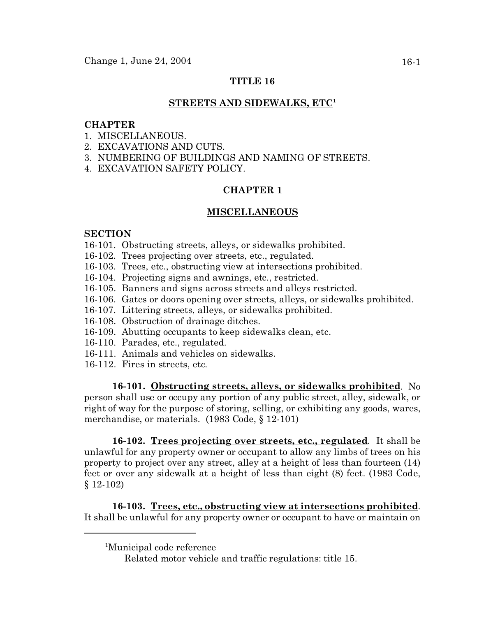# **TITLE 16**

#### **STREETS AND SIDEWALKS, ETC<sup>1</sup>**

#### **CHAPTER**

- 1. MISCELLANEOUS.
- 2. EXCAVATIONS AND CUTS.
- 3. NUMBERING OF BUILDINGS AND NAMING OF STREETS.
- 4. EXCAVATION SAFETY POLICY.

# **CHAPTER 1**

## **MISCELLANEOUS**

### **SECTION**

- 16-101. Obstructing streets, alleys, or sidewalks prohibited.
- 16-102. Trees projecting over streets, etc., regulated.
- 16-103. Trees, etc., obstructing view at intersections prohibited.
- 16-104. Projecting signs and awnings, etc., restricted.
- 16-105. Banners and signs across streets and alleys restricted.
- 16-106. Gates or doors opening over streets, alleys, or sidewalks prohibited.
- 16-107. Littering streets, alleys, or sidewalks prohibited.
- 16-108. Obstruction of drainage ditches.
- 16-109. Abutting occupants to keep sidewalks clean, etc.
- 16-110. Parades, etc., regulated.
- 16-111. Animals and vehicles on sidewalks.
- 16-112. Fires in streets, etc.

**16-101. Obstructing streets, alleys, or sidewalks prohibited**. No person shall use or occupy any portion of any public street, alley, sidewalk, or right of way for the purpose of storing, selling, or exhibiting any goods, wares, merchandise, or materials. (1983 Code, § 12-101)

**16-102. Trees projecting over streets, etc., regulated**. It shall be unlawful for any property owner or occupant to allow any limbs of trees on his property to project over any street, alley at a height of less than fourteen (14) feet or over any sidewalk at a height of less than eight (8) feet. (1983 Code, § 12-102)

**16-103. Trees, etc., obstructing view at intersections prohibited**. It shall be unlawful for any property owner or occupant to have or maintain on

<sup>&</sup>lt;sup>1</sup>Municipal code reference

Related motor vehicle and traffic regulations: title 15.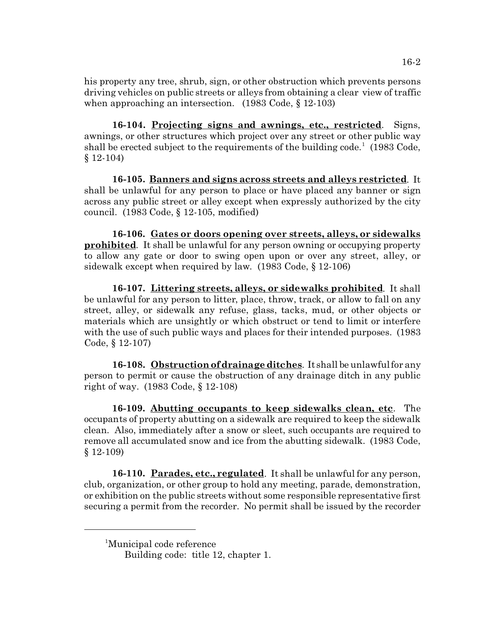his property any tree, shrub, sign, or other obstruction which prevents persons driving vehicles on public streets or alleys from obtaining a clear view of traffic when approaching an intersection. (1983 Code, § 12-103)

**16-104. Projecting signs and awnings, etc., restricted**. Signs, awnings, or other structures which project over any street or other public way shall be erected subject to the requirements of the building code.<sup>1</sup> (1983 Code, § 12-104)

**16-105. Banners and signs across streets and alleys restricted**. It shall be unlawful for any person to place or have placed any banner or sign across any public street or alley except when expressly authorized by the city council. (1983 Code, § 12-105, modified)

**16-106. Gates or doors opening over streets, alleys, or sidewalks prohibited**. It shall be unlawful for any person owning or occupying property to allow any gate or door to swing open upon or over any street, alley, or sidewalk except when required by law. (1983 Code, § 12-106)

**16-107. Littering streets, alleys, or sidewalks prohibited**. It shall be unlawful for any person to litter, place, throw, track, or allow to fall on any street, alley, or sidewalk any refuse, glass, tacks, mud, or other objects or materials which are unsightly or which obstruct or tend to limit or interfere with the use of such public ways and places for their intended purposes. (1983) Code, § 12-107)

**16-108. Obstruction of drainage ditches**. It shall be unlawful for any person to permit or cause the obstruction of any drainage ditch in any public right of way. (1983 Code, § 12-108)

**16-109. Abutting occupants to keep sidewalks clean, etc**. The occupants of property abutting on a sidewalk are required to keep the sidewalk clean. Also, immediately after a snow or sleet, such occupants are required to remove all accumulated snow and ice from the abutting sidewalk. (1983 Code, § 12-109)

**16-110. Parades, etc., regulated**. It shall be unlawful for any person, club, organization, or other group to hold any meeting, parade, demonstration, or exhibition on the public streets without some responsible representative first securing a permit from the recorder. No permit shall be issued by the recorder

<sup>1</sup>Municipal code reference

Building code: title 12, chapter 1.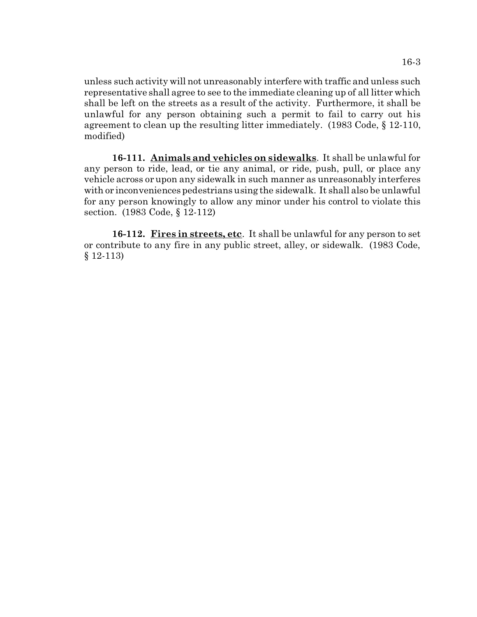unless such activity will not unreasonably interfere with traffic and unless such representative shall agree to see to the immediate cleaning up of all litter which shall be left on the streets as a result of the activity. Furthermore, it shall be unlawful for any person obtaining such a permit to fail to carry out his agreement to clean up the resulting litter immediately. (1983 Code, § 12-110, modified)

**16-111. Animals and vehicles on sidewalks**. It shall be unlawful for any person to ride, lead, or tie any animal, or ride, push, pull, or place any vehicle across or upon any sidewalk in such manner as unreasonably interferes with or inconveniences pedestrians using the sidewalk. It shall also be unlawful for any person knowingly to allow any minor under his control to violate this section. (1983 Code, § 12-112)

**16-112. Fires in streets, etc**. It shall be unlawful for any person to set or contribute to any fire in any public street, alley, or sidewalk. (1983 Code, § 12-113)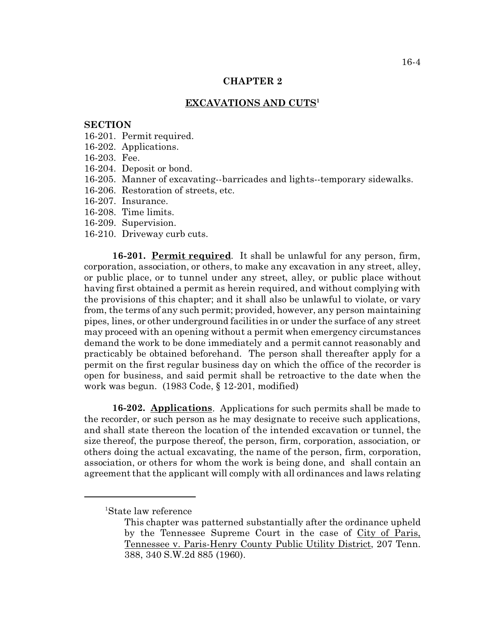#### **CHAPTER 2**

## **EXCAVATIONS AND CUTS<sup>1</sup>**

## **SECTION**

- 16-201. Permit required.
- 16-202. Applications.
- 16-203. Fee.
- 16-204. Deposit or bond.
- 16-205. Manner of excavating--barricades and lights--temporary sidewalks.
- 16-206. Restoration of streets, etc.
- 16-207. Insurance.
- 16-208. Time limits.
- 16-209. Supervision.
- 16-210. Driveway curb cuts.

**16-201. Permit required**. It shall be unlawful for any person, firm, corporation, association, or others, to make any excavation in any street, alley, or public place, or to tunnel under any street, alley, or public place without having first obtained a permit as herein required, and without complying with the provisions of this chapter; and it shall also be unlawful to violate, or vary from, the terms of any such permit; provided, however, any person maintaining pipes, lines, or other underground facilities in or under the surface of any street may proceed with an opening without a permit when emergency circumstances demand the work to be done immediately and a permit cannot reasonably and practicably be obtained beforehand. The person shall thereafter apply for a permit on the first regular business day on which the office of the recorder is open for business, and said permit shall be retroactive to the date when the work was begun. (1983 Code, § 12-201, modified)

**16-202. Applications**. Applications for such permits shall be made to the recorder, or such person as he may designate to receive such applications, and shall state thereon the location of the intended excavation or tunnel, the size thereof, the purpose thereof, the person, firm, corporation, association, or others doing the actual excavating, the name of the person, firm, corporation, association, or others for whom the work is being done, and shall contain an agreement that the applicant will comply with all ordinances and laws relating

<sup>1</sup>State law reference

This chapter was patterned substantially after the ordinance upheld by the Tennessee Supreme Court in the case of City of Paris, Tennessee v. Paris-Henry County Public Utility District, 207 Tenn. 388, 340 S.W.2d 885 (1960).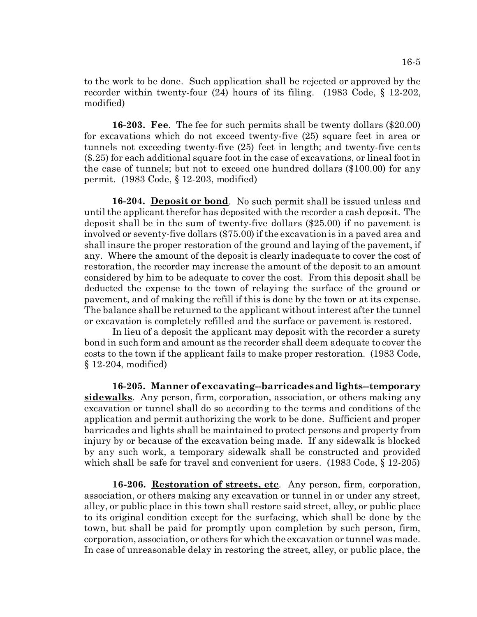to the work to be done. Such application shall be rejected or approved by the recorder within twenty-four (24) hours of its filing. (1983 Code, § 12-202, modified)

**16-203. Fee**. The fee for such permits shall be twenty dollars (\$20.00) for excavations which do not exceed twenty-five (25) square feet in area or tunnels not exceeding twenty-five (25) feet in length; and twenty-five cents (\$.25) for each additional square foot in the case of excavations, or lineal foot in the case of tunnels; but not to exceed one hundred dollars (\$100.00) for any permit. (1983 Code, § 12-203, modified)

**16-204. Deposit or bond**. No such permit shall be issued unless and until the applicant therefor has deposited with the recorder a cash deposit. The deposit shall be in the sum of twenty-five dollars (\$25.00) if no pavement is involved or seventy-five dollars (\$75.00) if the excavation is in a paved area and shall insure the proper restoration of the ground and laying of the pavement, if any. Where the amount of the deposit is clearly inadequate to cover the cost of restoration, the recorder may increase the amount of the deposit to an amount considered by him to be adequate to cover the cost. From this deposit shall be deducted the expense to the town of relaying the surface of the ground or pavement, and of making the refill if this is done by the town or at its expense. The balance shall be returned to the applicant without interest after the tunnel or excavation is completely refilled and the surface or pavement is restored.

In lieu of a deposit the applicant may deposit with the recorder a surety bond in such form and amount as the recorder shall deem adequate to cover the costs to the town if the applicant fails to make proper restoration. (1983 Code, § 12-204, modified)

**16-205. Manner of excavating--barricades and lights--temporary sidewalks**. Any person, firm, corporation, association, or others making any excavation or tunnel shall do so according to the terms and conditions of the application and permit authorizing the work to be done. Sufficient and proper barricades and lights shall be maintained to protect persons and property from injury by or because of the excavation being made. If any sidewalk is blocked by any such work, a temporary sidewalk shall be constructed and provided which shall be safe for travel and convenient for users. (1983 Code, § 12-205)

**16-206. Restoration of streets, etc**. Any person, firm, corporation, association, or others making any excavation or tunnel in or under any street, alley, or public place in this town shall restore said street, alley, or public place to its original condition except for the surfacing, which shall be done by the town, but shall be paid for promptly upon completion by such person, firm, corporation, association, or others for which the excavation or tunnel was made. In case of unreasonable delay in restoring the street, alley, or public place, the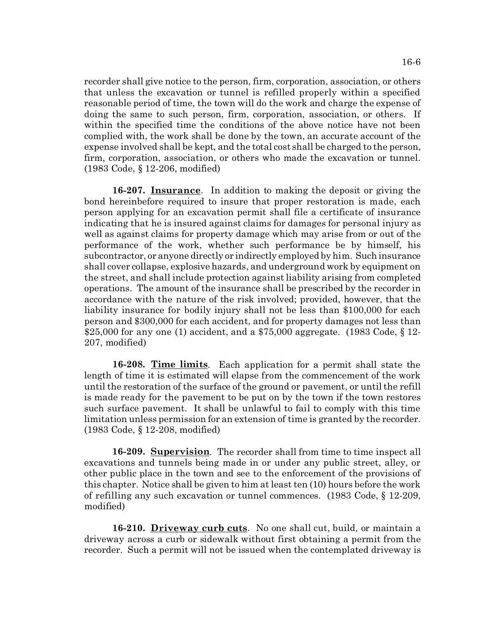recorder shall give notice to the person, firm, corporation, association, or others that unless the excavation or tunnel is refilled properly within a specified reasonable period of time, the town will do the work and charge the expense of doing the same to such person, firm, corporation, association, or others. If within the specified time the conditions of the above notice have not been complied with, the work shall be done by the town, an accurate account of the expense involved shall be kept, and the total cost shall be charged to the person, firm, corporation, association, or others who made the excavation or tunnel. (1983 Code, § 12-206, modified)

**16-207. Insurance**. In addition to making the deposit or giving the bond hereinbefore required to insure that proper restoration is made, each person applying for an excavation permit shall file a certificate of insurance indicating that he is insured against claims for damages for personal injury as well as against claims for property damage which may arise from or out of the performance of the work, whether such performance be by himself, his subcontractor, or anyone directly or indirectly employed by him. Such insurance shall cover collapse, explosive hazards, and underground work by equipment on the street, and shall include protection against liability arising from completed operations. The amount of the insurance shall be prescribed by the recorder in accordance with the nature of the risk involved; provided, however, that the liability insurance for bodily injury shall not be less than \$100,000 for each person and \$300,000 for each accident, and for property damages not less than \$25,000 for any one (1) accident, and a \$75,000 aggregate. (1983 Code, § 12- 207, modified)

**16-208. Time limits**. Each application for a permit shall state the length of time it is estimated will elapse from the commencement of the work until the restoration of the surface of the ground or pavement, or until the refill is made ready for the pavement to be put on by the town if the town restores such surface pavement. It shall be unlawful to fail to comply with this time limitation unless permission for an extension of time is granted by the recorder. (1983 Code, § 12-208, modified)

**16-209. Supervision**. The recorder shall from time to time inspect all excavations and tunnels being made in or under any public street, alley, or other public place in the town and see to the enforcement of the provisions of this chapter. Notice shall be given to him at least ten (10) hours before the work of refilling any such excavation or tunnel commences. (1983 Code, § 12-209, modified)

**16-210. Driveway curb cuts**. No one shall cut, build, or maintain a driveway across a curb or sidewalk without first obtaining a permit from the recorder. Such a permit will not be issued when the contemplated driveway is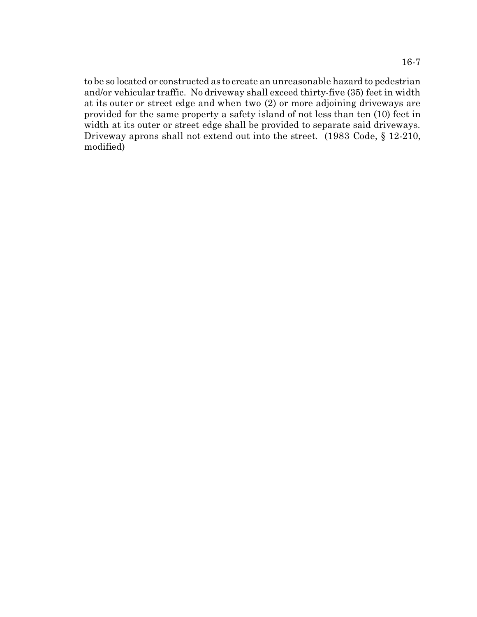to be so located or constructed as to create an unreasonable hazard to pedestrian and/or vehicular traffic. No driveway shall exceed thirty-five (35) feet in width at its outer or street edge and when two (2) or more adjoining driveways are provided for the same property a safety island of not less than ten (10) feet in width at its outer or street edge shall be provided to separate said driveways. Driveway aprons shall not extend out into the street. (1983 Code, § 12-210, modified)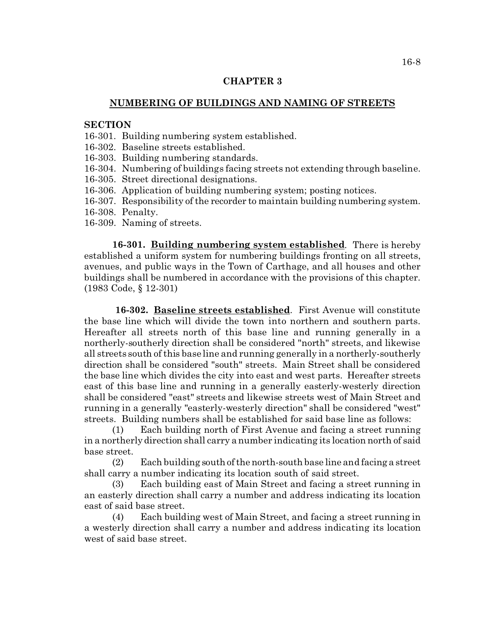### **CHAPTER 3**

## **NUMBERING OF BUILDINGS AND NAMING OF STREETS**

## **SECTION**

16-301. Building numbering system established.

16-302. Baseline streets established.

16-303. Building numbering standards.

16-304. Numbering of buildings facing streets not extending through baseline.

16-305. Street directional designations.

- 16-306. Application of building numbering system; posting notices.
- 16-307. Responsibility of the recorder to maintain building numbering system.
- 16-308. Penalty.
- 16-309. Naming of streets.

**16-301. Building numbering system established**. There is hereby established a uniform system for numbering buildings fronting on all streets, avenues, and public ways in the Town of Carthage, and all houses and other buildings shall be numbered in accordance with the provisions of this chapter. (1983 Code, § 12-301)

 **16-302. Baseline streets established**. First Avenue will constitute the base line which will divide the town into northern and southern parts. Hereafter all streets north of this base line and running generally in a northerly-southerly direction shall be considered "north" streets, and likewise all streets south of this base line and running generally in a northerly-southerly direction shall be considered "south" streets. Main Street shall be considered the base line which divides the city into east and west parts. Hereafter streets east of this base line and running in a generally easterly-westerly direction shall be considered "east" streets and likewise streets west of Main Street and running in a generally "easterly-westerly direction" shall be considered "west" streets. Building numbers shall be established for said base line as follows:

(1) Each building north of First Avenue and facing a street running in a northerly direction shall carry a number indicating its location north of said base street.

(2) Each building south of the north-south base line and facing a street shall carry a number indicating its location south of said street.

(3) Each building east of Main Street and facing a street running in an easterly direction shall carry a number and address indicating its location east of said base street.

(4) Each building west of Main Street, and facing a street running in a westerly direction shall carry a number and address indicating its location west of said base street.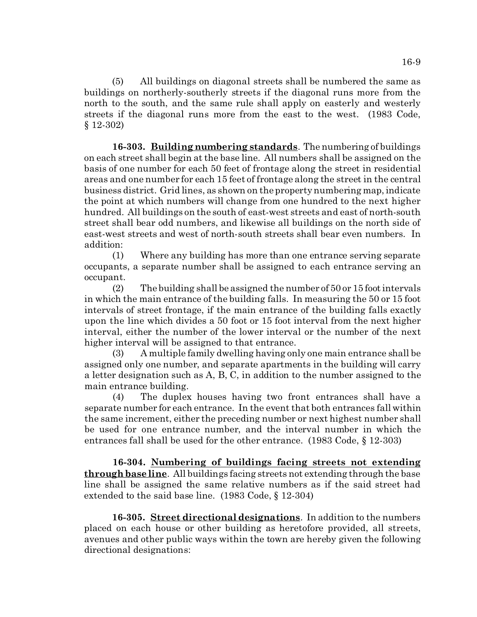(5) All buildings on diagonal streets shall be numbered the same as buildings on northerly-southerly streets if the diagonal runs more from the north to the south, and the same rule shall apply on easterly and westerly streets if the diagonal runs more from the east to the west. (1983 Code, § 12-302)

**16-303. Building numbering standards**. The numbering of buildings on each street shall begin at the base line. All numbers shall be assigned on the basis of one number for each 50 feet of frontage along the street in residential areas and one number for each 15 feet of frontage along the street in the central business district. Grid lines, as shown on the property numbering map, indicate the point at which numbers will change from one hundred to the next higher hundred. All buildings on the south of east-west streets and east of north-south street shall bear odd numbers, and likewise all buildings on the north side of east-west streets and west of north-south streets shall bear even numbers. In addition:

(1) Where any building has more than one entrance serving separate occupants, a separate number shall be assigned to each entrance serving an occupant.

(2) The building shall be assigned the number of 50 or 15 foot intervals in which the main entrance of the building falls. In measuring the 50 or 15 foot intervals of street frontage, if the main entrance of the building falls exactly upon the line which divides a 50 foot or 15 foot interval from the next higher interval, either the number of the lower interval or the number of the next higher interval will be assigned to that entrance.

(3) A multiple family dwelling having only one main entrance shall be assigned only one number, and separate apartments in the building will carry a letter designation such as A, B, C, in addition to the number assigned to the main entrance building.

(4) The duplex houses having two front entrances shall have a separate number for each entrance. In the event that both entrances fall within the same increment, either the preceding number or next highest number shall be used for one entrance number, and the interval number in which the entrances fall shall be used for the other entrance. (1983 Code, § 12-303)

**16-304. Numbering of buildings facing streets not extending through base line**. All buildings facing streets not extending through the base line shall be assigned the same relative numbers as if the said street had extended to the said base line. (1983 Code, § 12-304)

**16-305. Street directional designations**. In addition to the numbers placed on each house or other building as heretofore provided, all streets, avenues and other public ways within the town are hereby given the following directional designations: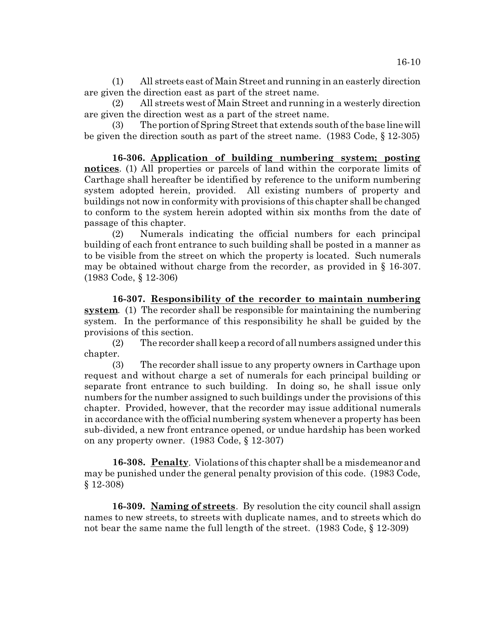(1) All streets east of Main Street and running in an easterly direction are given the direction east as part of the street name.

(2) All streets west of Main Street and running in a westerly direction are given the direction west as a part of the street name.

(3) The portion of Spring Street that extends south of the base line will be given the direction south as part of the street name. (1983 Code, § 12-305)

**16-306. Application of building numbering system; posting notices**. (1) All properties or parcels of land within the corporate limits of Carthage shall hereafter be identified by reference to the uniform numbering system adopted herein, provided. All existing numbers of property and buildings not now in conformity with provisions of this chapter shall be changed to conform to the system herein adopted within six months from the date of passage of this chapter.

(2) Numerals indicating the official numbers for each principal building of each front entrance to such building shall be posted in a manner as to be visible from the street on which the property is located. Such numerals may be obtained without charge from the recorder, as provided in § 16-307. (1983 Code, § 12-306)

**16-307. Responsibility of the recorder to maintain numbering system.** (1) The recorder shall be responsible for maintaining the numbering system. In the performance of this responsibility he shall be guided by the provisions of this section.

(2) The recorder shall keep a record of all numbers assigned under this chapter.

(3) The recorder shall issue to any property owners in Carthage upon request and without charge a set of numerals for each principal building or separate front entrance to such building. In doing so, he shall issue only numbers for the number assigned to such buildings under the provisions of this chapter. Provided, however, that the recorder may issue additional numerals in accordance with the official numbering system whenever a property has been sub-divided, a new front entrance opened, or undue hardship has been worked on any property owner. (1983 Code, § 12-307)

**16-308. Penalty**. Violations of this chapter shall be a misdemeanor and may be punished under the general penalty provision of this code. (1983 Code, § 12-308)

**16-309. Naming of streets**. By resolution the city council shall assign names to new streets, to streets with duplicate names, and to streets which do not bear the same name the full length of the street. (1983 Code, § 12-309)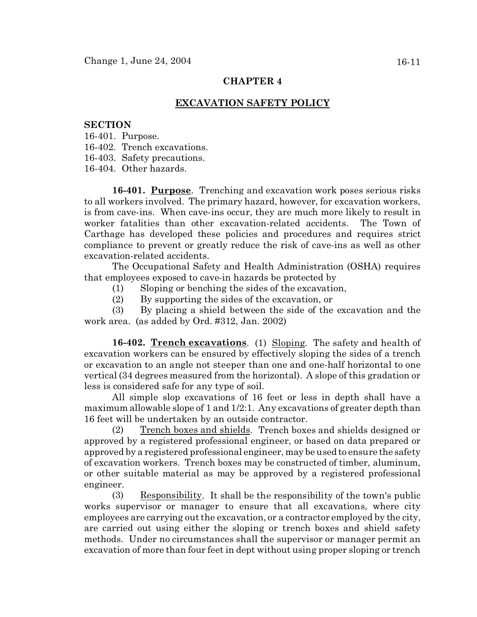# **CHAPTER 4**

# **EXCAVATION SAFETY POLICY**

#### **SECTION**

16-401. Purpose.

16-402. Trench excavations.

16-403. Safety precautions.

16-404. Other hazards.

**16-401. Purpose**. Trenching and excavation work poses serious risks to all workers involved. The primary hazard, however, for excavation workers, is from cave-ins. When cave-ins occur, they are much more likely to result in worker fatalities than other excavation-related accidents. The Town of Carthage has developed these policies and procedures and requires strict compliance to prevent or greatly reduce the risk of cave-ins as well as other excavation-related accidents.

The Occupational Safety and Health Administration (OSHA) requires that employees exposed to cave-in hazards be protected by

- (1) Sloping or benching the sides of the excavation,
- (2) By supporting the sides of the excavation, or

(3) By placing a shield between the side of the excavation and the work area. (as added by Ord. #312, Jan. 2002)

**16-402. Trench excavations**. (1) Sloping. The safety and health of excavation workers can be ensured by effectively sloping the sides of a trench or excavation to an angle not steeper than one and one-half horizontal to one vertical (34 degrees measured from the horizontal). A slope of this gradation or less is considered safe for any type of soil.

All simple slop excavations of 16 feet or less in depth shall have a maximum allowable slope of 1 and 1/2:1. Any excavations of greater depth than 16 feet will be undertaken by an outside contractor.

(2) Trench boxes and shields. Trench boxes and shields designed or approved by a registered professional engineer, or based on data prepared or approved by a registered professional engineer, may be used to ensure the safety of excavation workers. Trench boxes may be constructed of timber, aluminum, or other suitable material as may be approved by a registered professional engineer.

(3) Responsibility. It shall be the responsibility of the town's public works supervisor or manager to ensure that all excavations, where city employees are carrying out the excavation, or a contractor employed by the city, are carried out using either the sloping or trench boxes and shield safety methods. Under no circumstances shall the supervisor or manager permit an excavation of more than four feet in dept without using proper sloping or trench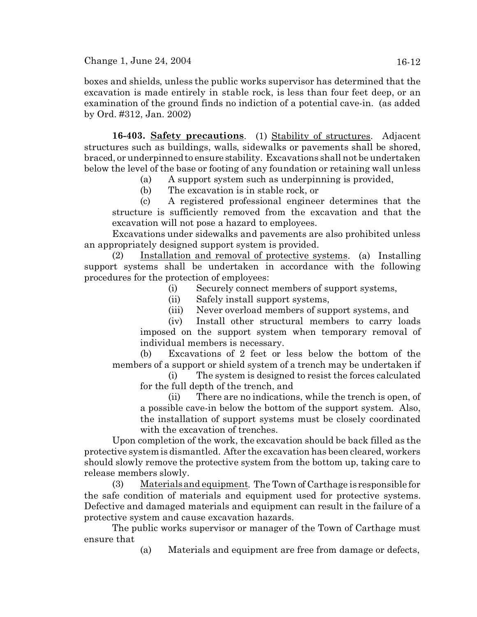boxes and shields, unless the public works supervisor has determined that the excavation is made entirely in stable rock, is less than four feet deep, or an examination of the ground finds no indiction of a potential cave-in. (as added by Ord. #312, Jan. 2002)

**16-403. Safety precautions**. (1) Stability of structures. Adjacent structures such as buildings, walls, sidewalks or pavements shall be shored, braced, or underpinned to ensure stability. Excavations shall not be undertaken below the level of the base or footing of any foundation or retaining wall unless

- (a) A support system such as underpinning is provided,
- (b) The excavation is in stable rock, or

(c) A registered professional engineer determines that the structure is sufficiently removed from the excavation and that the excavation will not pose a hazard to employees.

Excavations under sidewalks and pavements are also prohibited unless an appropriately designed support system is provided.

(2) Installation and removal of protective systems. (a) Installing support systems shall be undertaken in accordance with the following procedures for the protection of employees:

- (i) Securely connect members of support systems,
- (ii) Safely install support systems,
- (iii) Never overload members of support systems, and

(iv) Install other structural members to carry loads imposed on the support system when temporary removal of individual members is necessary.

(b) Excavations of 2 feet or less below the bottom of the members of a support or shield system of a trench may be undertaken if

(i) The system is designed to resist the forces calculated for the full depth of the trench, and

(ii) There are no indications, while the trench is open, of a possible cave-in below the bottom of the support system. Also, the installation of support systems must be closely coordinated with the excavation of trenches.

Upon completion of the work, the excavation should be back filled as the protective system is dismantled. After the excavation has been cleared, workers should slowly remove the protective system from the bottom up, taking care to release members slowly.

(3) Materials and equipment. The Town of Carthage is responsible for the safe condition of materials and equipment used for protective systems. Defective and damaged materials and equipment can result in the failure of a protective system and cause excavation hazards.

The public works supervisor or manager of the Town of Carthage must ensure that

(a) Materials and equipment are free from damage or defects,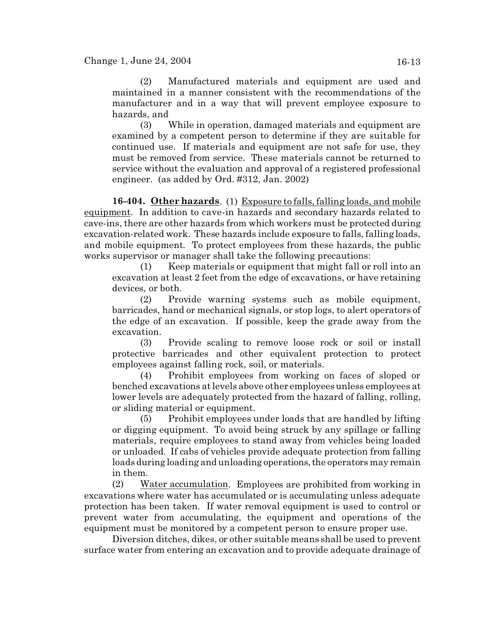(2) Manufactured materials and equipment are used and maintained in a manner consistent with the recommendations of the manufacturer and in a way that will prevent employee exposure to hazards, and

(3) While in operation, damaged materials and equipment are examined by a competent person to determine if they are suitable for continued use. If materials and equipment are not safe for use, they must be removed from service. These materials cannot be returned to service without the evaluation and approval of a registered professional engineer. (as added by Ord. #312, Jan. 2002)

**16-404. Other hazards**. (1) Exposure to falls, falling loads, and mobile equipment. In addition to cave-in hazards and secondary hazards related to cave-ins, there are other hazards from which workers must be protected during excavation-related work. These hazards include exposure to falls, falling loads, and mobile equipment. To protect employees from these hazards, the public works supervisor or manager shall take the following precautions:

(1) Keep materials or equipment that might fall or roll into an excavation at least 2 feet from the edge of excavations, or have retaining devices, or both.

(2) Provide warning systems such as mobile equipment, barricades, hand or mechanical signals, or stop logs, to alert operators of the edge of an excavation. If possible, keep the grade away from the excavation.

(3) Provide scaling to remove loose rock or soil or install protective barricades and other equivalent protection to protect employees against falling rock, soil, or materials.

(4) Prohibit employees from working on faces of sloped or benched excavations at levels above other employees unless employees at lower levels are adequately protected from the hazard of falling, rolling, or sliding material or equipment.

(5) Prohibit employees under loads that are handled by lifting or digging equipment. To avoid being struck by any spillage or falling materials, require employees to stand away from vehicles being loaded or unloaded. If cabs of vehicles provide adequate protection from falling loads during loading and unloading operations, the operators may remain in them.

(2) Water accumulation. Employees are prohibited from working in excavations where water has accumulated or is accumulating unless adequate protection has been taken. If water removal equipment is used to control or prevent water from accumulating, the equipment and operations of the equipment must be monitored by a competent person to ensure proper use.

Diversion ditches, dikes, or other suitable means shall be used to prevent surface water from entering an excavation and to provide adequate drainage of